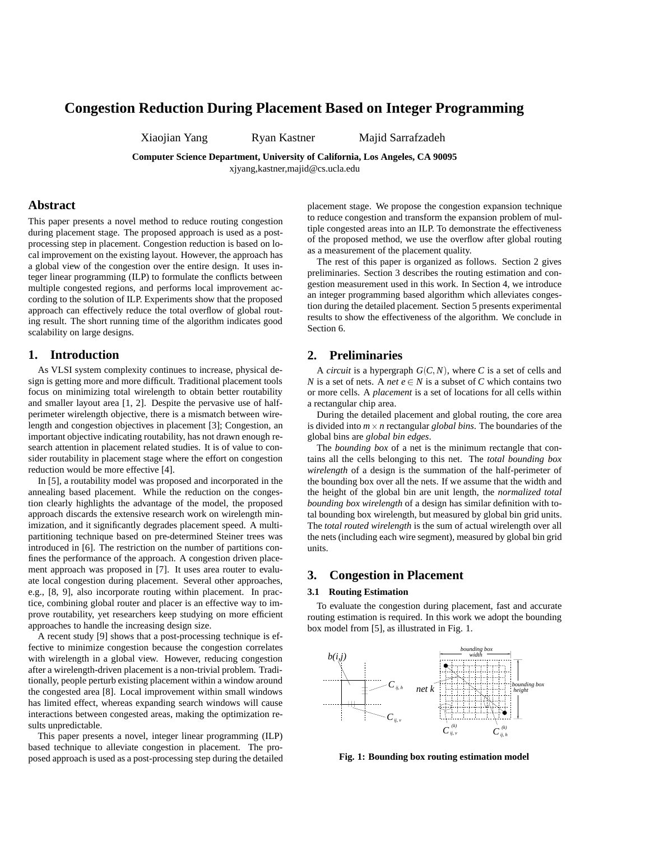# **Congestion Reduction During Placement Based on Integer Programming**

Xiaojian Yang Ryan Kastner Majid Sarrafzadeh

**Computer Science Department, University of California, Los Angeles, CA 90095**

xjyang,kastner,majid@cs.ucla.edu

### **Abstract**

This paper presents a novel method to reduce routing congestion during placement stage. The proposed approach is used as a postprocessing step in placement. Congestion reduction is based on local improvement on the existing layout. However, the approach has a global view of the congestion over the entire design. It uses integer linear programming (ILP) to formulate the conflicts between multiple congested regions, and performs local improvement according to the solution of ILP. Experiments show that the proposed approach can effectively reduce the total overflow of global routing result. The short running time of the algorithm indicates good scalability on large designs.

### **1. Introduction**

As VLSI system complexity continues to increase, physical design is getting more and more difficult. Traditional placement tools focus on minimizing total wirelength to obtain better routability and smaller layout area [1, 2]. Despite the pervasive use of halfperimeter wirelength objective, there is a mismatch between wirelength and congestion objectives in placement [3]; Congestion, an important objective indicating routability, has not drawn enough research attention in placement related studies. It is of value to consider routability in placement stage where the effort on congestion reduction would be more effective [4].

In [5], a routability model was proposed and incorporated in the annealing based placement. While the reduction on the congestion clearly highlights the advantage of the model, the proposed approach discards the extensive research work on wirelength minimization, and it significantly degrades placement speed. A multipartitioning technique based on pre-determined Steiner trees was introduced in [6]. The restriction on the number of partitions confines the performance of the approach. A congestion driven placement approach was proposed in [7]. It uses area router to evaluate local congestion during placement. Several other approaches, e.g., [8, 9], also incorporate routing within placement. In practice, combining global router and placer is an effective way to improve routability, yet researchers keep studying on more efficient approaches to handle the increasing design size.

A recent study [9] shows that a post-processing technique is effective to minimize congestion because the congestion correlates with wirelength in a global view. However, reducing congestion after a wirelength-driven placement is a non-trivial problem. Traditionally, people perturb existing placement within a window around the congested area [8]. Local improvement within small windows has limited effect, whereas expanding search windows will cause interactions between congested areas, making the optimization results unpredictable.

This paper presents a novel, integer linear programming (ILP) based technique to alleviate congestion in placement. The proposed approach is used as a post-processing step during the detailed

placement stage. We propose the congestion expansion technique to reduce congestion and transform the expansion problem of multiple congested areas into an ILP. To demonstrate the effectiveness of the proposed method, we use the overflow after global routing as a measurement of the placement quality.

The rest of this paper is organized as follows. Section 2 gives preliminaries. Section 3 describes the routing estimation and congestion measurement used in this work. In Section 4, we introduce an integer programming based algorithm which alleviates congestion during the detailed placement. Section 5 presents experimental results to show the effectiveness of the algorithm. We conclude in Section 6.

### **2. Preliminaries**

A *circuit* is a hypergraph  $G(C, N)$ , where C is a set of cells and *N* is a set of nets. A *net*  $e \in N$  is a subset of *C* which contains two or more cells. A *placement* is a set of locations for all cells within a rectangular chip area.

During the detailed placement and global routing, the core area is divided into *m*-*n* rectangular *global bins*. The boundaries of the global bins are *global bin edges*.

The *bounding box* of a net is the minimum rectangle that contains all the cells belonging to this net. The *total bounding box wirelength* of a design is the summation of the half-perimeter of the bounding box over all the nets. If we assume that the width and the height of the global bin are unit length, the *normalized total bounding box wirelength* of a design has similar definition with total bounding box wirelength, but measured by global bin grid units. The *total routed wirelength* is the sum of actual wirelength over all the nets (including each wire segment), measured by global bin grid units.

### **3. Congestion in Placement**

#### **3.1 Routing Estimation**

To evaluate the congestion during placement, fast and accurate routing estimation is required. In this work we adopt the bounding box model from [5], as illustrated in Fig. 1.



**Fig. 1: Bounding box routing estimation model**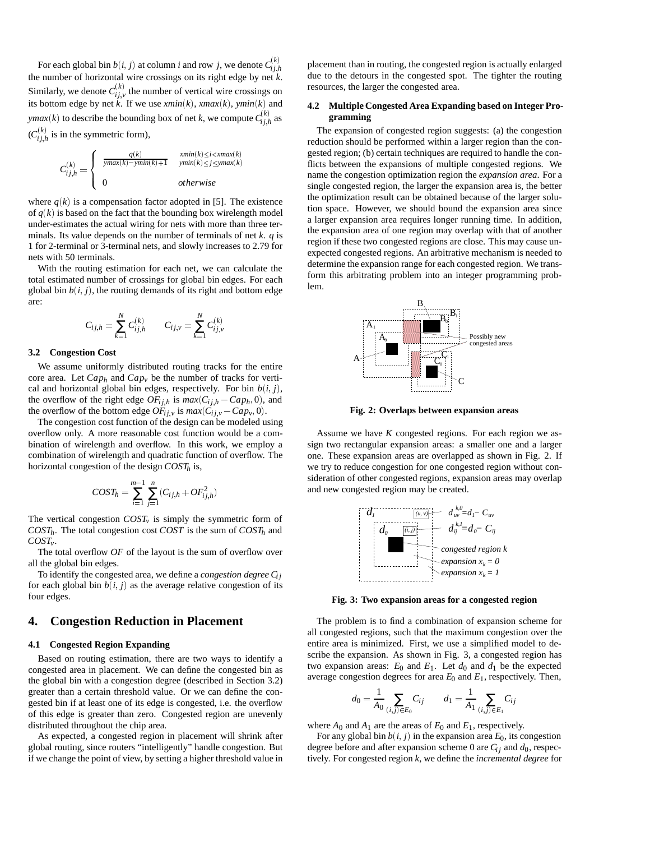For each global bin  $b(i, j)$  at column *i* and row *j*, we denote  $C_{ij,h}^{(k)}$ the number of horizontal wire crossings on its right edge by net *k*. Similarly, we denote  $C^{(k)}_{ij,v}$  the number of vertical wire crossings on its bottom edge by net *k*. If we use *xmin*(*k*), *xmax*(*k*), *ymin*(*k*) and *ymax*(*k*) to describe the bounding box of net *k*, we compute  $C_{ij,h}^{(k)}$  as  $(C_{ij,h}^{(k)}$  is in the symmetric form),

$$
C_{ij,h}^{(k)} = \begin{cases} \frac{q(k)}{\text{ymax}(k) - \text{ymin}(k) + 1} & \frac{\text{xmin}(k) \leq i < \text{xmax}(k)}{\text{ymin}(k) \leq j \leq \text{ymax}(k)} \\ 0 & \text{otherwise} \end{cases}
$$

where  $q(k)$  is a compensation factor adopted in [5]. The existence of  $q(k)$  is based on the fact that the bounding box wirelength model under-estimates the actual wiring for nets with more than three terminals. Its value depends on the number of terminals of net *k*. *q* is 1 for 2-terminal or 3-terminal nets, and slowly increases to 2.79 for nets with 50 terminals.

With the routing estimation for each net, we can calculate the total estimated number of crossings for global bin edges. For each global bin  $b(i, j)$ , the routing demands of its right and bottom edge are:

$$
C_{ij,h} = \sum_{k=1}^{N} C_{ij,h}^{(k)} \qquad C_{ij,v} = \sum_{k=1}^{N} C_{ij,v}^{(k)}
$$

#### **3.2 Congestion Cost**

We assume uniformly distributed routing tracks for the entire core area. Let  $Cap_h$  and  $Cap_v$  be the number of tracks for vertical and horizontal global bin edges, respectively. For bin  $b(i, j)$ , the overflow of the right edge  $OF_{i j, h}$  is  $max(C_{i j, h} - Cap_h, 0)$ , and the overflow of the bottom edge  $OF_{ij,v}$  is  $max(C_{ij,v} - Cap_v, 0)$ .

The congestion cost function of the design can be modeled using overflow only. A more reasonable cost function would be a combination of wirelength and overflow. In this work, we employ a combination of wirelength and quadratic function of overflow. The horizontal congestion of the design  $COST<sub>h</sub>$  is,

$$
COST_h = \sum_{i=1}^{m-1} \sum_{j=1}^{n} (C_{ij,h} + OF_{ij,h}^2)
$$

The vertical congestion  $COST_v$  is simply the symmetric form of  $COST<sub>h</sub>$ . The total congestion cost *COST* is the sum of *COST<sub>h</sub>* and *COSTv*.

The total overflow *OF* of the layout is the sum of overflow over all the global bin edges.

To identify the congested area, we define a *congestion degree Ci j* for each global bin  $b(i, j)$  as the average relative congestion of its four edges.

## **4. Congestion Reduction in Placement**

#### **4.1 Congested Region Expanding**

Based on routing estimation, there are two ways to identify a congested area in placement. We can define the congested bin as the global bin with a congestion degree (described in Section 3.2) greater than a certain threshold value. Or we can define the congested bin if at least one of its edge is congested, i.e. the overflow of this edge is greater than zero. Congested region are unevenly distributed throughout the chip area.

As expected, a congested region in placement will shrink after global routing, since routers "intelligently" handle congestion. But if we change the point of view, by setting a higher threshold value in placement than in routing, the congested region is actually enlarged due to the detours in the congested spot. The tighter the routing resources, the larger the congested area.

#### **4.2 Multiple Congested Area Expanding based on Integer Programming**

The expansion of congested region suggests: (a) the congestion reduction should be performed within a larger region than the congested region; (b) certain techniques are required to handle the conflicts between the expansions of multiple congested regions. We name the congestion optimization region the *expansion area*. For a single congested region, the larger the expansion area is, the better the optimization result can be obtained because of the larger solution space. However, we should bound the expansion area since a larger expansion area requires longer running time. In addition, the expansion area of one region may overlap with that of another region if these two congested regions are close. This may cause unexpected congested regions. An arbitrative mechanism is needed to determine the expansion range for each congested region. We transform this arbitrating problem into an integer programming problem.



**Fig. 2: Overlaps between expansion areas**

Assume we have *K* congested regions. For each region we assign two rectangular expansion areas: a smaller one and a larger one. These expansion areas are overlapped as shown in Fig. 2. If we try to reduce congestion for one congested region without consideration of other congested regions, expansion areas may overlap and new congested region may be created.



**Fig. 3: Two expansion areas for a congested region**

The problem is to find a combination of expansion scheme for all congested regions, such that the maximum congestion over the entire area is minimized. First, we use a simplified model to describe the expansion. As shown in Fig. 3, a congested region has two expansion areas:  $E_0$  and  $E_1$ . Let  $d_0$  and  $d_1$  be the expected average congestion degrees for area  $E_0$  and  $E_1$ , respectively. Then,

$$
d_0 = \frac{1}{A_0} \sum_{(i,j) \in E_0} C_{ij} \qquad d_1 = \frac{1}{A_1} \sum_{(i,j) \in E_1} C_{ij}
$$

where  $A_0$  and  $A_1$  are the areas of  $E_0$  and  $E_1$ , respectively.

For any global bin  $b(i, j)$  in the expansion area  $E_0$ , its congestion degree before and after expansion scheme 0 are  $C_{ij}$  and  $d_0$ , respectively. For congested region *k*, we define the *incremental degree* for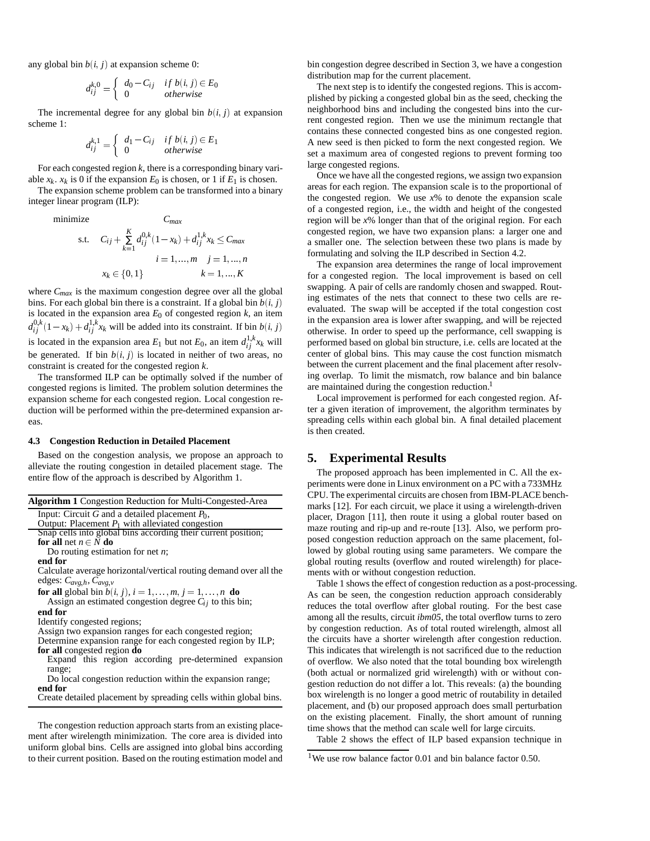any global bin  $b(i, j)$  at expansion scheme 0:

$$
d_{ij}^{k,0} = \begin{cases} d_0 - C_{ij} & if \ b(i,j) \in E_0 \\ 0 & otherwise \end{cases}
$$

The incremental degree for any global bin  $b(i, j)$  at expansion scheme 1:

$$
d_{ij}^{k,1} = \left\{ \begin{array}{ll} d_1 - C_{ij} & \text{if } b(i,j) \in E_1 \\ 0 & \text{otherwise} \end{array} \right.
$$

For each congested region *k*, there is a corresponding binary variable  $x_k$ .  $x_k$  is 0 if the expansion  $E_0$  is chosen, or 1 if  $E_1$  is chosen.

The expansion scheme problem can be transformed into a binary integer linear program (ILP):

minimize

$$
\text{c} \quad \text{C}_{ij} + \sum_{k=1}^{K} d_{ij}^{0,k} (1 - x_k) + d_{ij}^{1,k} x_k \leq C_{\text{max}}
$$
\n
$$
i = 1, ..., m \quad j = 1, ..., n
$$
\n
$$
x_k \in \{0, 1\} \quad k = 1, ..., K
$$

where *Cmax* is the maximum congestion degree over all the global bins. For each global bin there is a constraint. If a global bin  $b(i, j)$ is located in the expansion area  $E_0$  of congested region  $k$ , an item  $d_{ij}^{0,k}(1-x_k) + d_{ij}^{1,k}x_k$  will be added into its constraint. If bin  $b(i, j)$ is located in the expansion area  $E_1$  but not  $E_0$ , an item  $d_{ij}^{1,k}x_k$  will be generated. If bin  $b(i, j)$  is located in neither of two areas, no constraint is created for the congested region *k*.

The transformed ILP can be optimally solved if the number of congested regions is limited. The problem solution determines the expansion scheme for each congested region. Local congestion reduction will be performed within the pre-determined expansion areas.

#### **4.3 Congestion Reduction in Detailed Placement**

Based on the congestion analysis, we propose an approach to alleviate the routing congestion in detailed placement stage. The entire flow of the approach is described by Algorithm 1.

|  |  | Algorithm 1 Congestion Reduction for Multi-Congested-Area |
|--|--|-----------------------------------------------------------|
|  |  |                                                           |

Input: Circuit *G* and a detailed placement  $P_0$ ,

Output: Placement  $P_1$  with alleviated congestion

|                          | Snap cells into global bins according their current position; |
|--------------------------|---------------------------------------------------------------|
| for all net $n \in N$ do |                                                               |

Do routing estimation for net *n*;

#### **end for**

Calculate average horizontal/vertical routing demand over all the edges: *Cavg*;*h*, *Cavg*;*<sup>v</sup>*

**for all** global bin  $b(i, j)$ ,  $i = 1, ..., m, j = 1, ..., n$  **do** 

Assign an estimated congestion degree  $C_{ij}$  to this bin; **end for**

Identify congested regions;

Assign two expansion ranges for each congested region;

Determine expansion range for each congested region by ILP; **for all** congested region **do**

Expand this region according pre-determined expansion range;

Do local congestion reduction within the expansion range; **end for**

Create detailed placement by spreading cells within global bins.

The congestion reduction approach starts from an existing placement after wirelength minimization. The core area is divided into uniform global bins. Cells are assigned into global bins according to their current position. Based on the routing estimation model and bin congestion degree described in Section 3, we have a congestion distribution map for the current placement.

The next step is to identify the congested regions. This is accomplished by picking a congested global bin as the seed, checking the neighborhood bins and including the congested bins into the current congested region. Then we use the minimum rectangle that contains these connected congested bins as one congested region. A new seed is then picked to form the next congested region. We set a maximum area of congested regions to prevent forming too large congested regions.

Once we have all the congested regions, we assign two expansion areas for each region. The expansion scale is to the proportional of the congested region. We use  $x\%$  to denote the expansion scale of a congested region, i.e., the width and height of the congested region will be *x*% longer than that of the original region. For each congested region, we have two expansion plans: a larger one and a smaller one. The selection between these two plans is made by formulating and solving the ILP described in Section 4.2.

The expansion area determines the range of local improvement for a congested region. The local improvement is based on cell swapping. A pair of cells are randomly chosen and swapped. Routing estimates of the nets that connect to these two cells are reevaluated. The swap will be accepted if the total congestion cost in the expansion area is lower after swapping, and will be rejected otherwise. In order to speed up the performance, cell swapping is performed based on global bin structure, i.e. cells are located at the center of global bins. This may cause the cost function mismatch between the current placement and the final placement after resolving overlap. To limit the mismatch, row balance and bin balance are maintained during the congestion reduction.<sup>1</sup>

Local improvement is performed for each congested region. After a given iteration of improvement, the algorithm terminates by spreading cells within each global bin. A final detailed placement is then created.

### **5. Experimental Results**

The proposed approach has been implemented in C. All the experiments were done in Linux environment on a PC with a 733MHz CPU. The experimental circuits are chosen from IBM-PLACE benchmarks [12]. For each circuit, we place it using a wirelength-driven placer, Dragon [11], then route it using a global router based on maze routing and rip-up and re-route [13]. Also, we perform proposed congestion reduction approach on the same placement, followed by global routing using same parameters. We compare the global routing results (overflow and routed wirelength) for placements with or without congestion reduction.

Table 1 shows the effect of congestion reduction as a post-processing. As can be seen, the congestion reduction approach considerably reduces the total overflow after global routing. For the best case among all the results, circuit *ibm05*, the total overflow turns to zero by congestion reduction. As of total routed wirelength, almost all the circuits have a shorter wirelength after congestion reduction. This indicates that wirelength is not sacrificed due to the reduction of overflow. We also noted that the total bounding box wirelength (both actual or normalized grid wirelength) with or without congestion reduction do not differ a lot. This reveals: (a) the bounding box wirelength is no longer a good metric of routability in detailed placement, and (b) our proposed approach does small perturbation on the existing placement. Finally, the short amount of running time shows that the method can scale well for large circuits.

Table 2 shows the effect of ILP based expansion technique in

<sup>&</sup>lt;sup>1</sup>We use row balance factor 0.01 and bin balance factor 0.50.